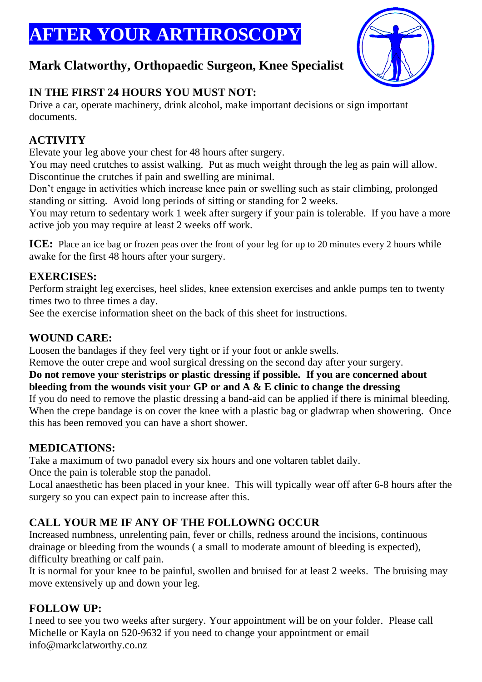# **FTER YOUR ARTHROSCOPY**



## **Mark Clatworthy, Orthopaedic Surgeon, Knee Specialist**

## **IN THE FIRST 24 HOURS YOU MUST NOT:**

Drive a car, operate machinery, drink alcohol, make important decisions or sign important documents.

## **ACTIVITY**

Elevate your leg above your chest for 48 hours after surgery.

You may need crutches to assist walking. Put as much weight through the leg as pain will allow. Discontinue the crutches if pain and swelling are minimal.

Don't engage in activities which increase knee pain or swelling such as stair climbing, prolonged standing or sitting. Avoid long periods of sitting or standing for 2 weeks.

You may return to sedentary work 1 week after surgery if your pain is tolerable. If you have a more active job you may require at least 2 weeks off work.

**ICE:** Place an ice bag or frozen peas over the front of your leg for up to 20 minutes every 2 hours while awake for the first 48 hours after your surgery.

#### **EXERCISES:**

Perform straight leg exercises, heel slides, knee extension exercises and ankle pumps ten to twenty times two to three times a day.

See the exercise information sheet on the back of this sheet for instructions.

## **WOUND CARE:**

Loosen the bandages if they feel very tight or if your foot or ankle swells.

Remove the outer crepe and wool surgical dressing on the second day after your surgery.

#### **Do not remove your steristrips or plastic dressing if possible. If you are concerned about bleeding from the wounds visit your GP or and A & E clinic to change the dressing**

If you do need to remove the plastic dressing a band-aid can be applied if there is minimal bleeding. When the crepe bandage is on cover the knee with a plastic bag or gladwrap when showering. Once this has been removed you can have a short shower.

## **MEDICATIONS:**

Take a maximum of two panadol every six hours and one voltaren tablet daily.

Once the pain is tolerable stop the panadol.

Local anaesthetic has been placed in your knee. This will typically wear off after 6-8 hours after the surgery so you can expect pain to increase after this.

## **CALL YOUR ME IF ANY OF THE FOLLOWNG OCCUR**

Increased numbness, unrelenting pain, fever or chills, redness around the incisions, continuous drainage or bleeding from the wounds ( a small to moderate amount of bleeding is expected), difficulty breathing or calf pain.

It is normal for your knee to be painful, swollen and bruised for at least 2 weeks. The bruising may move extensively up and down your leg.

## **FOLLOW UP:**

I need to see you two weeks after surgery. Your appointment will be on your folder. Please call Michelle or Kayla on 520-9632 if you need to change your appointment or email info@markclatworthy.co.nz